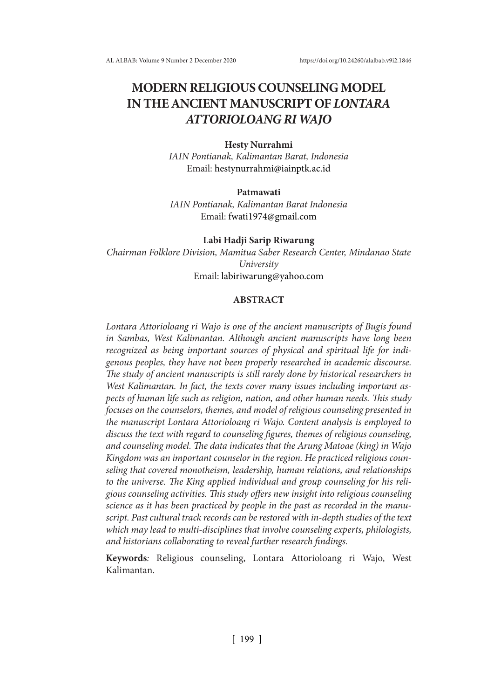# **MODERN RELIGIOUS COUNSELING MODEL IN THE ANCIENT MANUSCRIPT OF** *LONTARA ATTORIOLOANG RI WAJO*

#### **Hesty Nurrahmi**

*IAIN Pontianak, Kalimantan Barat, Indonesia* Email: hestynurrahmi@iainptk.ac.id

### **Patmawati**

*IAIN Pontianak, Kalimantan Barat Indonesia* Email: fwati1974@gmail.com

**Labi Hadji Sarip Riwarung** *Chairman Folklore Division, Mamitua Saber Research Center, Mindanao State University* Email: labiriwarung@yahoo.com

### **ABSTRACT**

*Lontara Attorioloang ri Wajo is one of the ancient manuscripts of Bugis found in Sambas, West Kalimantan. Although ancient manuscripts have long been recognized as being important sources of physical and spiritual life for indigenous peoples, they have not been properly researched in academic discourse. The study of ancient manuscripts is still rarely done by historical researchers in West Kalimantan. In fact, the texts cover many issues including important aspects of human life such as religion, nation, and other human needs. This study focuses on the counselors, themes, and model of religious counseling presented in the manuscript Lontara Attorioloang ri Wajo. Content analysis is employed to discuss the text with regard to counseling figures, themes of religious counseling, and counseling model. The data indicates that the Arung Matoae (king) in Wajo Kingdom was an important counselor in the region. He practiced religious counseling that covered monotheism, leadership, human relations, and relationships to the universe. The King applied individual and group counseling for his religious counseling activities. This study offers new insight into religious counseling science as it has been practiced by people in the past as recorded in the manuscript. Past cultural track records can be restored with in-depth studies of the text which may lead to multi-disciplines that involve counseling experts, philologists, and historians collaborating to reveal further research findings.*

**Keywords***:* Religious counseling, Lontara Attorioloang ri Wajo, West Kalimantan.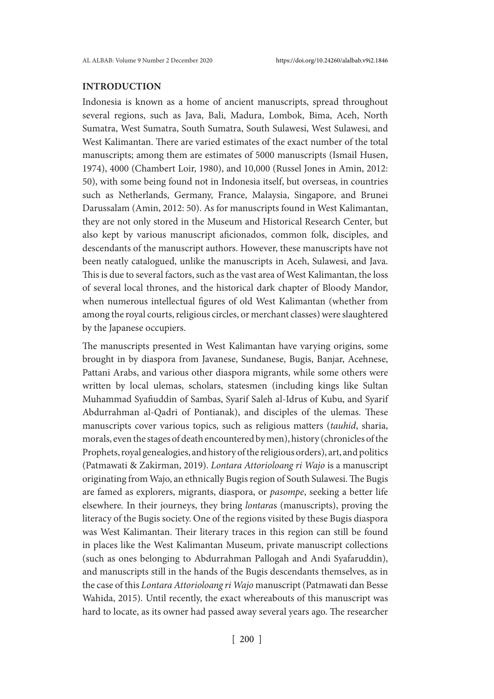### **INTRODUCTION**

Indonesia is known as a home of ancient manuscripts, spread throughout several regions, such as Java, Bali, Madura, Lombok, Bima, Aceh, North Sumatra, West Sumatra, South Sumatra, South Sulawesi, West Sulawesi, and West Kalimantan. There are varied estimates of the exact number of the total manuscripts; among them are estimates of 5000 manuscripts (Ismail Husen, 1974), 4000 (Chambert Loir, 1980), and 10,000 (Russel Jones in Amin, 2012: 50), with some being found not in Indonesia itself, but overseas, in countries such as Netherlands, Germany, France, Malaysia, Singapore, and Brunei Darussalam (Amin, 2012: 50). As for manuscripts found in West Kalimantan, they are not only stored in the Museum and Historical Research Center, but also kept by various manuscript aficionados, common folk, disciples, and descendants of the manuscript authors. However, these manuscripts have not been neatly catalogued, unlike the manuscripts in Aceh, Sulawesi, and Java. This is due to several factors, such as the vast area of West Kalimantan, the loss of several local thrones, and the historical dark chapter of Bloody Mandor, when numerous intellectual figures of old West Kalimantan (whether from among the royal courts, religious circles, or merchant classes) were slaughtered by the Japanese occupiers.

The manuscripts presented in West Kalimantan have varying origins, some brought in by diaspora from Javanese, Sundanese, Bugis, Banjar, Acehnese, Pattani Arabs, and various other diaspora migrants, while some others were written by local ulemas, scholars, statesmen (including kings like Sultan Muhammad Syafiuddin of Sambas, Syarif Saleh al-Idrus of Kubu, and Syarif Abdurrahman al-Qadri of Pontianak), and disciples of the ulemas. These manuscripts cover various topics, such as religious matters (*tauhid*, sharia, morals, even the stages of death encountered by men), history (chronicles of the Prophets, royal genealogies, and history of the religious orders), art, and politics (Patmawati & Zakirman, 2019). *Lontara Attorioloang ri Wajo* is a manuscript originating from Wajo, an ethnically Bugis region of South Sulawesi. The Bugis are famed as explorers, migrants, diaspora, or *pasompe*, seeking a better life elsewhere. In their journeys, they bring *lontara*s (manuscripts), proving the literacy of the Bugis society. One of the regions visited by these Bugis diaspora was West Kalimantan. Their literary traces in this region can still be found in places like the West Kalimantan Museum, private manuscript collections (such as ones belonging to Abdurrahman Pallogah and Andi Syafaruddin), and manuscripts still in the hands of the Bugis descendants themselves, as in the case of this *Lontara Attorioloang ri Wajo* manuscript (Patmawati dan Besse Wahida, 2015)*.* Until recently, the exact whereabouts of this manuscript was hard to locate, as its owner had passed away several years ago. The researcher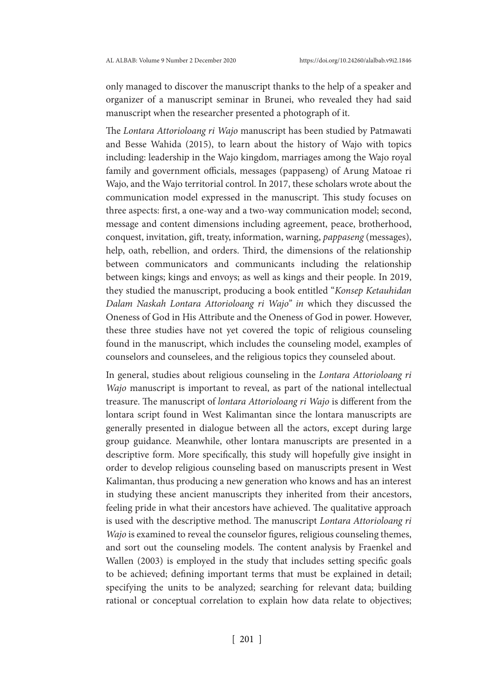only managed to discover the manuscript thanks to the help of a speaker and organizer of a manuscript seminar in Brunei, who revealed they had said manuscript when the researcher presented a photograph of it.

The *Lontara Attorioloang ri Wajo* manuscript has been studied by Patmawati and Besse Wahida (2015), to learn about the history of Wajo with topics including: leadership in the Wajo kingdom, marriages among the Wajo royal family and government officials, messages (pappaseng) of Arung Matoae ri Wajo, and the Wajo territorial control. In 2017, these scholars wrote about the communication model expressed in the manuscript. This study focuses on three aspects: first, a one-way and a two-way communication model; second, message and content dimensions including agreement, peace, brotherhood, conquest, invitation, gift, treaty, information, warning, *pappaseng* (messages), help, oath, rebellion, and orders. Third, the dimensions of the relationship between communicators and communicants including the relationship between kings; kings and envoys; as well as kings and their people. In 2019, they studied the manuscript, producing a book entitled "*Konsep Ketauhidan Dalam Naskah Lontara Attorioloang ri Wajo'' in* which they discussed the Oneness of God in His Attribute and the Oneness of God in power. However, these three studies have not yet covered the topic of religious counseling found in the manuscript, which includes the counseling model, examples of counselors and counselees, and the religious topics they counseled about.

In general, studies about religious counseling in the *Lontara Attorioloang ri Wajo* manuscript is important to reveal, as part of the national intellectual treasure. The manuscript of *lontara Attorioloang ri Wajo* is different from the lontara script found in West Kalimantan since the lontara manuscripts are generally presented in dialogue between all the actors, except during large group guidance. Meanwhile, other lontara manuscripts are presented in a descriptive form. More specifically, this study will hopefully give insight in order to develop religious counseling based on manuscripts present in West Kalimantan, thus producing a new generation who knows and has an interest in studying these ancient manuscripts they inherited from their ancestors, feeling pride in what their ancestors have achieved. The qualitative approach is used with the descriptive method. The manuscript *Lontara Attorioloang ri Wajo* is examined to reveal the counselor figures, religious counseling themes, and sort out the counseling models. The content analysis by Fraenkel and Wallen (2003) is employed in the study that includes setting specific goals to be achieved; defining important terms that must be explained in detail; specifying the units to be analyzed; searching for relevant data; building rational or conceptual correlation to explain how data relate to objectives;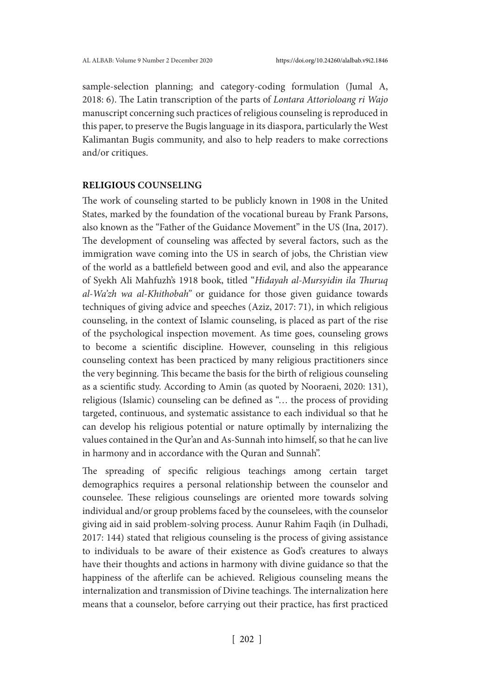sample-selection planning; and category-coding formulation (Jumal A, 2018: 6). The Latin transcription of the parts of *Lontara Attorioloang ri Wajo*  manuscript concerning such practices of religious counseling is reproduced in this paper, to preserve the Bugis language in its diaspora, particularly the West Kalimantan Bugis community, and also to help readers to make corrections and/or critiques.

### **RELIGIOUS COUNSELING**

The work of counseling started to be publicly known in 1908 in the United States, marked by the foundation of the vocational bureau by Frank Parsons, also known as the "Father of the Guidance Movement" in the US (Ina, 2017). The development of counseling was affected by several factors, such as the immigration wave coming into the US in search of jobs, the Christian view of the world as a battlefield between good and evil, and also the appearance of Syekh Ali Mahfuzh's 1918 book, titled "*Hidayah al-Mursyidin ila Thuruq al-Wa'zh wa al-Khithobah"* or guidance for those given guidance towards techniques of giving advice and speeches (Aziz, 2017: 71), in which religious counseling, in the context of Islamic counseling, is placed as part of the rise of the psychological inspection movement. As time goes, counseling grows to become a scientific discipline. However, counseling in this religious counseling context has been practiced by many religious practitioners since the very beginning. This became the basis for the birth of religious counseling as a scientific study. According to Amin (as quoted by Nooraeni, 2020: 131), religious (Islamic) counseling can be defined as "… the process of providing targeted, continuous, and systematic assistance to each individual so that he can develop his religious potential or nature optimally by internalizing the values contained in the Qur'an and As-Sunnah into himself, so that he can live in harmony and in accordance with the Quran and Sunnah".

The spreading of specific religious teachings among certain target demographics requires a personal relationship between the counselor and counselee. These religious counselings are oriented more towards solving individual and/or group problems faced by the counselees, with the counselor giving aid in said problem-solving process. Aunur Rahim Faqih (in Dulhadi, 2017: 144) stated that religious counseling is the process of giving assistance to individuals to be aware of their existence as God's creatures to always have their thoughts and actions in harmony with divine guidance so that the happiness of the afterlife can be achieved. Religious counseling means the internalization and transmission of Divine teachings. The internalization here means that a counselor, before carrying out their practice, has first practiced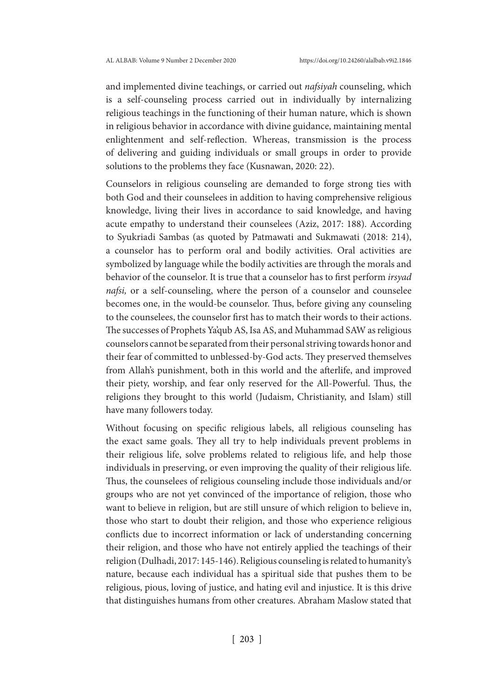and implemented divine teachings, or carried out *nafsiyah* counseling, which is a self-counseling process carried out in individually by internalizing religious teachings in the functioning of their human nature, which is shown in religious behavior in accordance with divine guidance, maintaining mental enlightenment and self-reflection. Whereas, transmission is the process of delivering and guiding individuals or small groups in order to provide solutions to the problems they face (Kusnawan, 2020: 22).

Counselors in religious counseling are demanded to forge strong ties with both God and their counselees in addition to having comprehensive religious knowledge, living their lives in accordance to said knowledge, and having acute empathy to understand their counselees (Aziz, 2017: 188). According to Syukriadi Sambas (as quoted by Patmawati and Sukmawati (2018: 214), a counselor has to perform oral and bodily activities. Oral activities are symbolized by language while the bodily activities are through the morals and behavior of the counselor. It is true that a counselor has to first perform *irsyad nafsi*, or a self-counseling, where the person of a counselor and counselee becomes one, in the would-be counselor. Thus, before giving any counseling to the counselees, the counselor first has to match their words to their actions. The successes of Prophets Ya'qub AS, Isa AS, and Muhammad SAW as religious counselors cannot be separated from their personal striving towards honor and their fear of committed to unblessed-by-God acts. They preserved themselves from Allah's punishment, both in this world and the afterlife, and improved their piety, worship, and fear only reserved for the All-Powerful. Thus, the religions they brought to this world (Judaism, Christianity, and Islam) still have many followers today.

Without focusing on specific religious labels, all religious counseling has the exact same goals. They all try to help individuals prevent problems in their religious life, solve problems related to religious life, and help those individuals in preserving, or even improving the quality of their religious life. Thus, the counselees of religious counseling include those individuals and/or groups who are not yet convinced of the importance of religion, those who want to believe in religion, but are still unsure of which religion to believe in, those who start to doubt their religion, and those who experience religious conflicts due to incorrect information or lack of understanding concerning their religion, and those who have not entirely applied the teachings of their religion (Dulhadi, 2017: 145-146). Religious counseling is related to humanity's nature, because each individual has a spiritual side that pushes them to be religious, pious, loving of justice, and hating evil and injustice. It is this drive that distinguishes humans from other creatures. Abraham Maslow stated that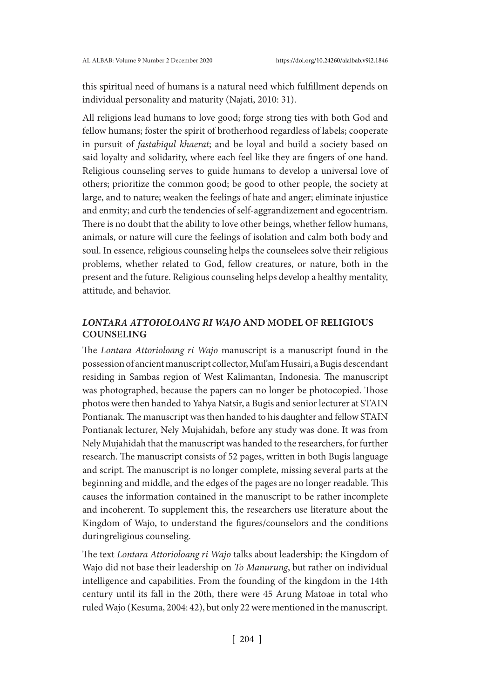this spiritual need of humans is a natural need which fulfillment depends on individual personality and maturity (Najati, 2010: 31).

All religions lead humans to love good; forge strong ties with both God and fellow humans; foster the spirit of brotherhood regardless of labels; cooperate in pursuit of *fastabiqul khaerat*; and be loyal and build a society based on said loyalty and solidarity, where each feel like they are fingers of one hand. Religious counseling serves to guide humans to develop a universal love of others; prioritize the common good; be good to other people, the society at large, and to nature; weaken the feelings of hate and anger; eliminate injustice and enmity; and curb the tendencies of self-aggrandizement and egocentrism. There is no doubt that the ability to love other beings, whether fellow humans, animals, or nature will cure the feelings of isolation and calm both body and soul. In essence, religious counseling helps the counselees solve their religious problems, whether related to God, fellow creatures, or nature, both in the present and the future. Religious counseling helps develop a healthy mentality, attitude, and behavior.

# *LONTARA ATTOIOLOANG RI WAJO* **AND MODEL OF RELIGIOUS COUNSELING**

The *Lontara Attorioloang ri Wajo* manuscript is a manuscript found in the possession of ancient manuscript collector, Mul'am Husairi, a Bugis descendant residing in Sambas region of West Kalimantan, Indonesia. The manuscript was photographed, because the papers can no longer be photocopied. Those photos were then handed to Yahya Natsir, a Bugis and senior lecturer at STAIN Pontianak. The manuscript was then handed to his daughter and fellow STAIN Pontianak lecturer, Nely Mujahidah, before any study was done. It was from Nely Mujahidah that the manuscript was handed to the researchers, for further research. The manuscript consists of 52 pages, written in both Bugis language and script. The manuscript is no longer complete, missing several parts at the beginning and middle, and the edges of the pages are no longer readable. This causes the information contained in the manuscript to be rather incomplete and incoherent. To supplement this, the researchers use literature about the Kingdom of Wajo, to understand the figures/counselors and the conditions duringreligious counseling.

The text *Lontara Attorioloang ri Wajo* talks about leadership; the Kingdom of Wajo did not base their leadership on *To Manurung*, but rather on individual intelligence and capabilities. From the founding of the kingdom in the 14th century until its fall in the 20th, there were 45 Arung Matoae in total who ruled Wajo (Kesuma, 2004: 42), but only 22 were mentioned in the manuscript.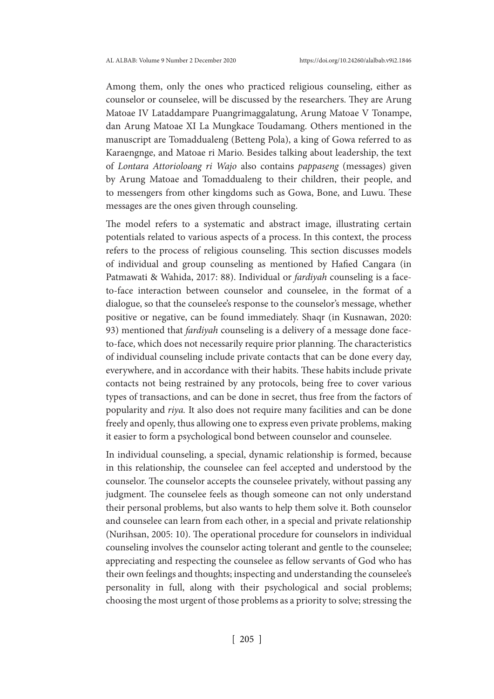Among them, only the ones who practiced religious counseling, either as counselor or counselee, will be discussed by the researchers. They are Arung Matoae IV Lataddampare Puangrimaggalatung, Arung Matoae V Tonampe, dan Arung Matoae XI La Mungkace Toudamang. Others mentioned in the manuscript are Tomaddualeng (Betteng Pola), a king of Gowa referred to as Karaengnge, and Matoae ri Mario. Besides talking about leadership, the text of *Lontara Attorioloang ri Wajo* also contains *pappaseng* (messages) given by Arung Matoae and Tomaddualeng to their children, their people, and to messengers from other kingdoms such as Gowa, Bone, and Luwu. These messages are the ones given through counseling.

The model refers to a systematic and abstract image, illustrating certain potentials related to various aspects of a process. In this context, the process refers to the process of religious counseling. This section discusses models of individual and group counseling as mentioned by Hafied Cangara (in Patmawati & Wahida, 2017: 88). Individual or *fardiyah* counseling is a faceto-face interaction between counselor and counselee, in the format of a dialogue, so that the counselee's response to the counselor's message, whether positive or negative, can be found immediately. Shaqr (in Kusnawan, 2020: 93) mentioned that *fardiyah* counseling is a delivery of a message done faceto-face, which does not necessarily require prior planning. The characteristics of individual counseling include private contacts that can be done every day, everywhere, and in accordance with their habits. These habits include private contacts not being restrained by any protocols, being free to cover various types of transactions, and can be done in secret, thus free from the factors of popularity and *riya.* It also does not require many facilities and can be done freely and openly, thus allowing one to express even private problems, making it easier to form a psychological bond between counselor and counselee.

In individual counseling, a special, dynamic relationship is formed, because in this relationship, the counselee can feel accepted and understood by the counselor. The counselor accepts the counselee privately, without passing any judgment. The counselee feels as though someone can not only understand their personal problems, but also wants to help them solve it. Both counselor and counselee can learn from each other, in a special and private relationship (Nurihsan, 2005: 10). The operational procedure for counselors in individual counseling involves the counselor acting tolerant and gentle to the counselee; appreciating and respecting the counselee as fellow servants of God who has their own feelings and thoughts; inspecting and understanding the counselee's personality in full, along with their psychological and social problems; choosing the most urgent of those problems as a priority to solve; stressing the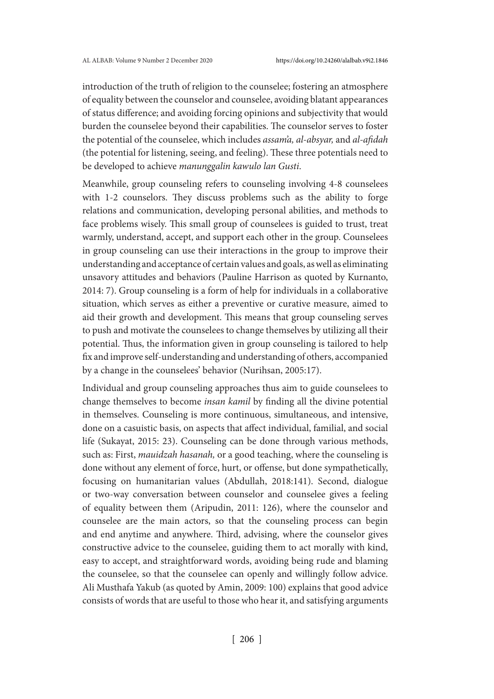introduction of the truth of religion to the counselee; fostering an atmosphere of equality between the counselor and counselee, avoiding blatant appearances of status difference; and avoiding forcing opinions and subjectivity that would burden the counselee beyond their capabilities. The counselor serves to foster the potential of the counselee, which includes *assam'a, al-absyar,* and *al-afidah* (the potential for listening, seeing, and feeling). These three potentials need to be developed to achieve *manunggalin kawulo lan Gusti*.

Meanwhile, group counseling refers to counseling involving 4-8 counselees with 1-2 counselors. They discuss problems such as the ability to forge relations and communication, developing personal abilities, and methods to face problems wisely. This small group of counselees is guided to trust, treat warmly, understand, accept, and support each other in the group. Counselees in group counseling can use their interactions in the group to improve their understanding and acceptance of certain values and goals, as well as eliminating unsavory attitudes and behaviors (Pauline Harrison as quoted by Kurnanto, 2014: 7). Group counseling is a form of help for individuals in a collaborative situation, which serves as either a preventive or curative measure, aimed to aid their growth and development. This means that group counseling serves to push and motivate the counselees to change themselves by utilizing all their potential. Thus, the information given in group counseling is tailored to help fix and improve self-understanding and understanding of others, accompanied by a change in the counselees' behavior (Nurihsan, 2005:17).

Individual and group counseling approaches thus aim to guide counselees to change themselves to become *insan kamil* by finding all the divine potential in themselves. Counseling is more continuous, simultaneous, and intensive, done on a casuistic basis, on aspects that affect individual, familial, and social life (Sukayat, 2015: 23). Counseling can be done through various methods, such as: First, *mauidzah hasanah,* or a good teaching, where the counseling is done without any element of force, hurt, or offense, but done sympathetically, focusing on humanitarian values (Abdullah, 2018:141). Second, dialogue or two-way conversation between counselor and counselee gives a feeling of equality between them (Aripudin, 2011: 126), where the counselor and counselee are the main actors, so that the counseling process can begin and end anytime and anywhere. Third, advising, where the counselor gives constructive advice to the counselee, guiding them to act morally with kind, easy to accept, and straightforward words, avoiding being rude and blaming the counselee, so that the counselee can openly and willingly follow advice. Ali Musthafa Yakub (as quoted by Amin, 2009: 100) explains that good advice consists of words that are useful to those who hear it, and satisfying arguments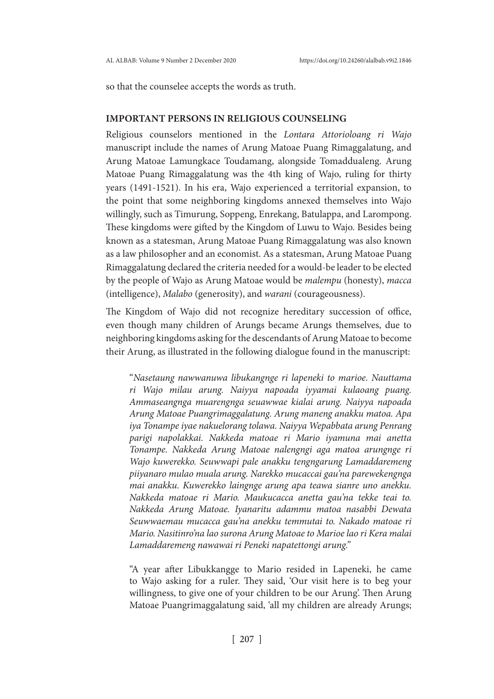so that the counselee accepts the words as truth.

## **IMPORTANT PERSONS IN RELIGIOUS COUNSELING**

Religious counselors mentioned in the *Lontara Attorioloang ri Wajo*  manuscript include the names of Arung Matoae Puang Rimaggalatung, and Arung Matoae Lamungkace Toudamang, alongside Tomaddualeng. Arung Matoae Puang Rimaggalatung was the 4th king of Wajo, ruling for thirty years (1491-1521). In his era, Wajo experienced a territorial expansion, to the point that some neighboring kingdoms annexed themselves into Wajo willingly, such as Timurung, Soppeng, Enrekang, Batulappa, and Larompong. These kingdoms were gifted by the Kingdom of Luwu to Wajo. Besides being known as a statesman, Arung Matoae Puang Rimaggalatung was also known as a law philosopher and an economist. As a statesman, Arung Matoae Puang Rimaggalatung declared the criteria needed for a would-be leader to be elected by the people of Wajo as Arung Matoae would be *malempu* (honesty), *macca* (intelligence), *Malabo* (generosity), and *warani* (courageousness).

The Kingdom of Wajo did not recognize hereditary succession of office, even though many children of Arungs became Arungs themselves, due to neighboring kingdoms asking for the descendants of Arung Matoae to become their Arung, as illustrated in the following dialogue found in the manuscript:

"*Nasetaung nawwanuwa libukangnge ri lapeneki to marioe. Nauttama ri Wajo milau arung. Naiyya napoada iyyamai kulaoang puang. Ammaseangnga muarengnga seuawwae kialai arung. Naiyya napoada Arung Matoae Puangrimaggalatung. Arung maneng anakku matoa. Apa iya Tonampe iyae nakuelorang tolawa. Naiyya Wepabbata arung Penrang parigi napolakkai. Nakkeda matoae ri Mario iyamuna mai anetta Tonampe. Nakkeda Arung Matoae nalengngi aga matoa arungnge ri Wajo kuwerekko. Seuwwapi pale anakku tengngarung Lamaddaremeng piiyanaro mulao muala arung. Narekko mucaccai gau'na parewekengnga mai anakku. Kuwerekko laingnge arung apa teawa sianre uno anekku. Nakkeda matoae ri Mario. Maukucacca anetta gau'na tekke teai to. Nakkeda Arung Matoae. Iyanaritu adammu matoa nasabbi Dewata Seuwwaemau mucacca gau'na anekku temmutai to. Nakado matoae ri Mario. Nasitinro'na lao surona Arung Matoae to Marioe lao ri Kera malai Lamaddaremeng nawawai ri Peneki napatettongi arung."*

"A year after Libukkangge to Mario resided in Lapeneki, he came to Wajo asking for a ruler. They said, 'Our visit here is to beg your willingness, to give one of your children to be our Arung'. Then Arung Matoae Puangrimaggalatung said, 'all my children are already Arungs;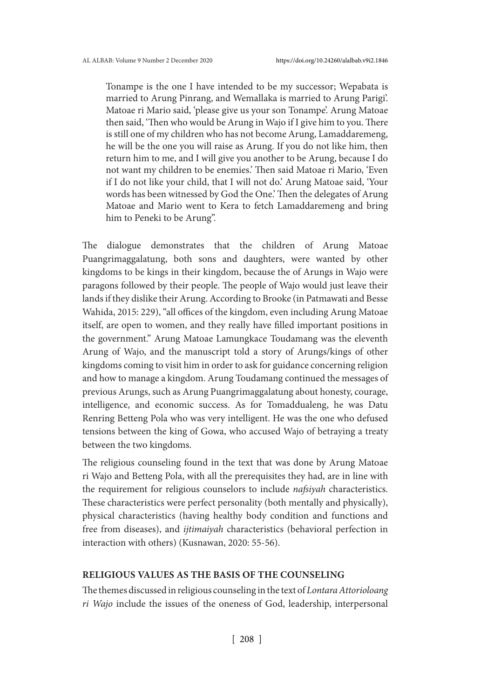Tonampe is the one I have intended to be my successor; Wepabata is married to Arung Pinrang, and Wemallaka is married to Arung Parigi'. Matoae ri Mario said, 'please give us your son Tonampe'. Arung Matoae then said, 'Then who would be Arung in Wajo if I give him to you. There is still one of my children who has not become Arung, Lamaddaremeng, he will be the one you will raise as Arung. If you do not like him, then return him to me, and I will give you another to be Arung, because I do not want my children to be enemies.' Then said Matoae ri Mario, 'Even if I do not like your child, that I will not do.' Arung Matoae said, 'Your words has been witnessed by God the One.' Then the delegates of Arung Matoae and Mario went to Kera to fetch Lamaddaremeng and bring him to Peneki to be Arung".

The dialogue demonstrates that the children of Arung Matoae Puangrimaggalatung, both sons and daughters, were wanted by other kingdoms to be kings in their kingdom, because the of Arungs in Wajo were paragons followed by their people. The people of Wajo would just leave their lands if they dislike their Arung. According to Brooke (in Patmawati and Besse Wahida, 2015: 229), "all offices of the kingdom, even including Arung Matoae itself, are open to women, and they really have filled important positions in the government." Arung Matoae Lamungkace Toudamang was the eleventh Arung of Wajo, and the manuscript told a story of Arungs/kings of other kingdoms coming to visit him in order to ask for guidance concerning religion and how to manage a kingdom. Arung Toudamang continued the messages of previous Arungs, such as Arung Puangrimaggalatung about honesty, courage, intelligence, and economic success. As for Tomaddualeng, he was Datu Renring Betteng Pola who was very intelligent. He was the one who defused tensions between the king of Gowa, who accused Wajo of betraying a treaty between the two kingdoms.

The religious counseling found in the text that was done by Arung Matoae ri Wajo and Betteng Pola, with all the prerequisites they had, are in line with the requirement for religious counselors to include *nafsiyah* characteristics. These characteristics were perfect personality (both mentally and physically), physical characteristics (having healthy body condition and functions and free from diseases), and *ijtimaiyah* characteristics (behavioral perfection in interaction with others) (Kusnawan, 2020: 55-56).

### **RELIGIOUS VALUES AS THE BASIS OF THE COUNSELING**

The themes discussed in religious counseling in the text of *Lontara Attorioloang ri Wajo* include the issues of the oneness of God, leadership, interpersonal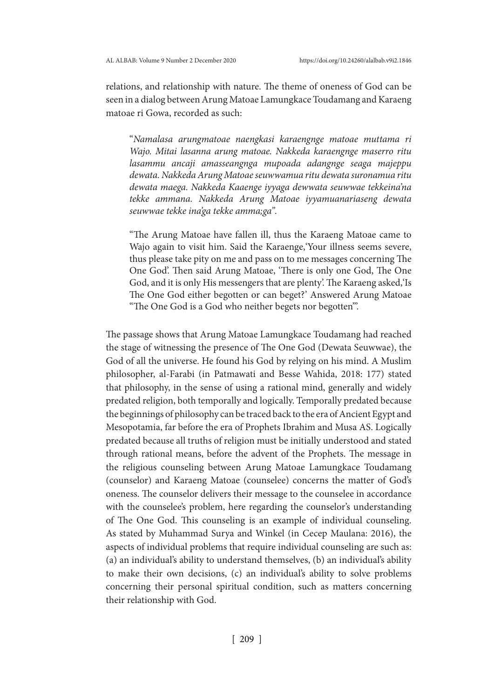relations, and relationship with nature. The theme of oneness of God can be seen in a dialog between Arung Matoae Lamungkace Toudamang and Karaeng matoae ri Gowa, recorded as such:

"*Namalasa arungmatoae naengkasi karaengnge matoae muttama ri Wajo. Mitai lasanna arung matoae. Nakkeda karaengnge maserro ritu lasammu ancaji amasseangnga mupoada adangnge seaga majeppu dewata. Nakkeda Arung Matoae seuwwamua ritu dewata suronamua ritu dewata maega. Nakkeda Kaaenge iyyaga dewwata seuwwae tekkeina'na tekke ammana. Nakkeda Arung Matoae iyyamuanariaseng dewata seuwwae tekke ina'ga tekke amma;ga".*

"The Arung Matoae have fallen ill, thus the Karaeng Matoae came to Wajo again to visit him. Said the Karaenge,'Your illness seems severe, thus please take pity on me and pass on to me messages concerning The One God'. Then said Arung Matoae, 'There is only one God, The One God, and it is only His messengers that are plenty'. The Karaeng asked,'Is The One God either begotten or can beget?' Answered Arung Matoae "The One God is a God who neither begets nor begotten'".

The passage shows that Arung Matoae Lamungkace Toudamang had reached the stage of witnessing the presence of The One God (Dewata Seuwwae), the God of all the universe. He found his God by relying on his mind. A Muslim philosopher, al-Farabi (in Patmawati and Besse Wahida, 2018: 177) stated that philosophy, in the sense of using a rational mind, generally and widely predated religion, both temporally and logically. Temporally predated because the beginnings of philosophy can be traced back to the era of Ancient Egypt and Mesopotamia, far before the era of Prophets Ibrahim and Musa AS. Logically predated because all truths of religion must be initially understood and stated through rational means, before the advent of the Prophets. The message in the religious counseling between Arung Matoae Lamungkace Toudamang (counselor) and Karaeng Matoae (counselee) concerns the matter of God's oneness. The counselor delivers their message to the counselee in accordance with the counselee's problem, here regarding the counselor's understanding of The One God. This counseling is an example of individual counseling. As stated by Muhammad Surya and Winkel (in Cecep Maulana: 2016), the aspects of individual problems that require individual counseling are such as: (a) an individual's ability to understand themselves, (b) an individual's ability to make their own decisions, (c) an individual's ability to solve problems concerning their personal spiritual condition, such as matters concerning their relationship with God.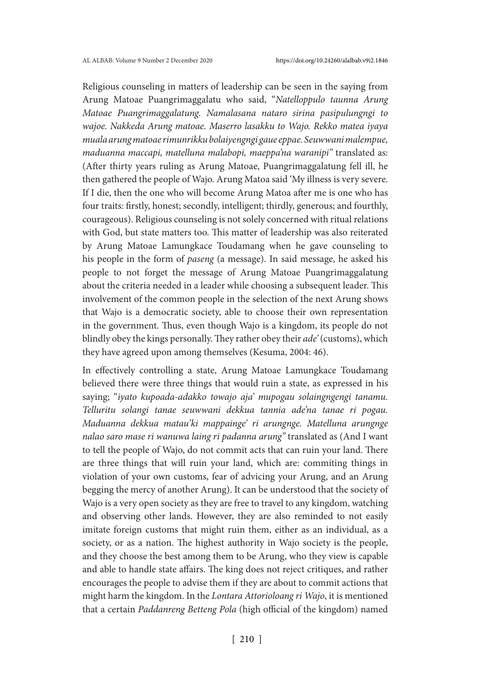Religious counseling in matters of leadership can be seen in the saying from Arung Matoae Puangrimaggalatu who said, "*Natelloppulo taunna Arung Matoae Puangrimaggalatung. Namalasana nataro sirina pasipulungngi to wajoe. Nakkeda Arung matoae. Maserro lasakku to Wajo. Rekko matea iyaya muala arung matoae rimunrikku bolaiyengngi gaue eppae. Seuwwani malempue, maduanna maccapi, matelluna malabopi, maeppa'na waranipi"* translated as: (After thirty years ruling as Arung Matoae, Puangrimaggalatung fell ill, he then gathered the people of Wajo. Arung Matoa said 'My illness is very severe. If I die, then the one who will become Arung Matoa after me is one who has four traits: firstly, honest; secondly, intelligent; thirdly, generous; and fourthly, courageous). Religious counseling is not solely concerned with ritual relations with God, but state matters too. This matter of leadership was also reiterated by Arung Matoae Lamungkace Toudamang when he gave counseling to his people in the form of *paseng* (a message). In said message, he asked his people to not forget the message of Arung Matoae Puangrimaggalatung about the criteria needed in a leader while choosing a subsequent leader. This involvement of the common people in the selection of the next Arung shows that Wajo is a democratic society, able to choose their own representation in the government. Thus, even though Wajo is a kingdom, its people do not blindly obey the kings personally. They rather obey their *ade'* (customs), which they have agreed upon among themselves (Kesuma, 2004: 46).

In effectively controlling a state, Arung Matoae Lamungkace Toudamang believed there were three things that would ruin a state, as expressed in his saying; "*iyato kupoada-adakko towajo aja' mupogau solaingngengi tanamu. Telluritu solangi tanae seuwwani dekkua tannia ade'na tanae ri pogau. Maduanna dekkua matau'ki mappainge' ri arungnge. Matelluna arungnge nalao saro mase ri wanuwa laing ri padanna arung"* translated as (And I want to tell the people of Wajo, do not commit acts that can ruin your land. There are three things that will ruin your land, which are: commiting things in violation of your own customs, fear of advicing your Arung, and an Arung begging the mercy of another Arung). It can be understood that the society of Wajo is a very open society as they are free to travel to any kingdom, watching and observing other lands. However, they are also reminded to not easily imitate foreign customs that might ruin them, either as an individual, as a society, or as a nation. The highest authority in Wajo society is the people, and they choose the best among them to be Arung, who they view is capable and able to handle state affairs. The king does not reject critiques, and rather encourages the people to advise them if they are about to commit actions that might harm the kingdom. In the *Lontara Attorioloang ri Wajo*, it is mentioned that a certain *Paddanreng Betteng Pola* (high official of the kingdom) named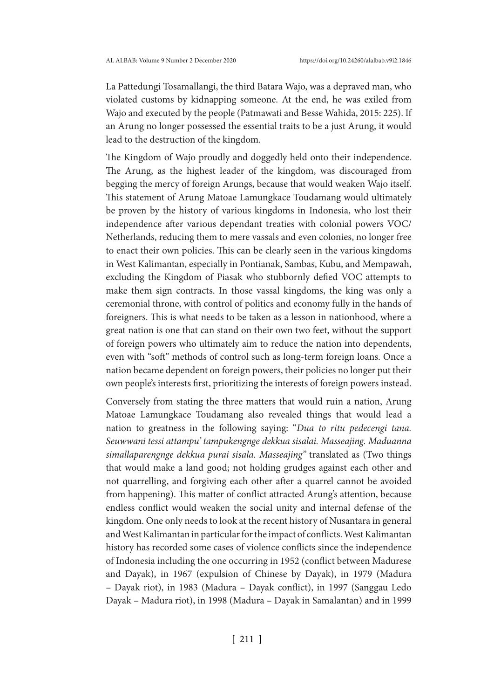La Pattedungi Tosamallangi, the third Batara Wajo, was a depraved man, who violated customs by kidnapping someone. At the end, he was exiled from Wajo and executed by the people (Patmawati and Besse Wahida, 2015: 225). If an Arung no longer possessed the essential traits to be a just Arung, it would lead to the destruction of the kingdom.

The Kingdom of Wajo proudly and doggedly held onto their independence. The Arung, as the highest leader of the kingdom, was discouraged from begging the mercy of foreign Arungs, because that would weaken Wajo itself. This statement of Arung Matoae Lamungkace Toudamang would ultimately be proven by the history of various kingdoms in Indonesia, who lost their independence after various dependant treaties with colonial powers VOC/ Netherlands, reducing them to mere vassals and even colonies, no longer free to enact their own policies. This can be clearly seen in the various kingdoms in West Kalimantan, especially in Pontianak, Sambas, Kubu, and Mempawah, excluding the Kingdom of Piasak who stubbornly defied VOC attempts to make them sign contracts. In those vassal kingdoms, the king was only a ceremonial throne, with control of politics and economy fully in the hands of foreigners. This is what needs to be taken as a lesson in nationhood, where a great nation is one that can stand on their own two feet, without the support of foreign powers who ultimately aim to reduce the nation into dependents, even with "soft" methods of control such as long-term foreign loans. Once a nation became dependent on foreign powers, their policies no longer put their own people's interests first, prioritizing the interests of foreign powers instead.

Conversely from stating the three matters that would ruin a nation, Arung Matoae Lamungkace Toudamang also revealed things that would lead a nation to greatness in the following saying: "*Dua to ritu pedecengi tana. Seuwwani tessi attampu' tampukengnge dekkua sisalai. Masseajing. Maduanna simallaparengnge dekkua purai sisala. Masseajing"* translated as (Two things that would make a land good; not holding grudges against each other and not quarrelling, and forgiving each other after a quarrel cannot be avoided from happening). This matter of conflict attracted Arung's attention, because endless conflict would weaken the social unity and internal defense of the kingdom. One only needs to look at the recent history of Nusantara in general and West Kalimantan in particular for the impact of conflicts. West Kalimantan history has recorded some cases of violence conflicts since the independence of Indonesia including the one occurring in 1952 (conflict between Madurese and Dayak), in 1967 (expulsion of Chinese by Dayak), in 1979 (Madura – Dayak riot), in 1983 (Madura – Dayak conflict), in 1997 (Sanggau Ledo Dayak – Madura riot), in 1998 (Madura – Dayak in Samalantan) and in 1999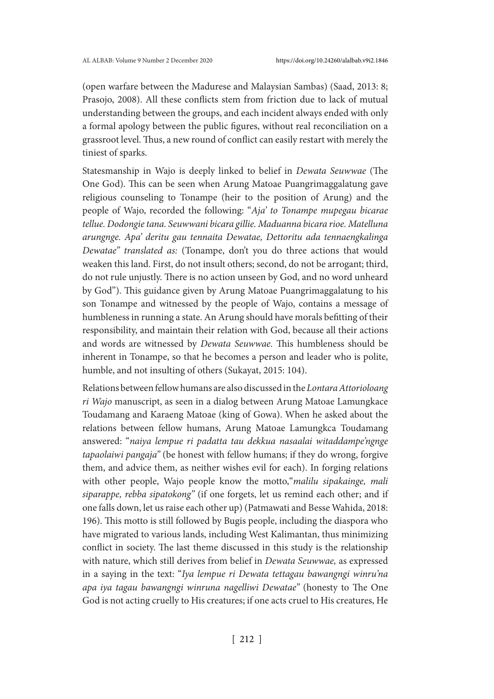(open warfare between the Madurese and Malaysian Sambas) (Saad, 2013: 8; Prasojo, 2008). All these conflicts stem from friction due to lack of mutual understanding between the groups, and each incident always ended with only a formal apology between the public figures, without real reconciliation on a grassroot level. Thus, a new round of conflict can easily restart with merely the tiniest of sparks.

Statesmanship in Wajo is deeply linked to belief in *Dewata Seuwwae* (The One God). This can be seen when Arung Matoae Puangrimaggalatung gave religious counseling to Tonampe (heir to the position of Arung) and the people of Wajo, recorded the following: "*Aja' to Tonampe mupegau bicarae tellue. Dodongie tana. Seuwwani bicara gillie. Maduanna bicara rioe. Matelluna arungnge. Apa' deritu gau tennaita Dewatae, Dettoritu ada tennaengkalinga Dewatae" translated as:* (Tonampe, don't you do three actions that would weaken this land. First, do not insult others; second, do not be arrogant; third, do not rule unjustly. There is no action unseen by God, and no word unheard by God"). This guidance given by Arung Matoae Puangrimaggalatung to his son Tonampe and witnessed by the people of Wajo, contains a message of humbleness in running a state. An Arung should have morals befitting of their responsibility, and maintain their relation with God, because all their actions and words are witnessed by *Dewata Seuwwae*. This humbleness should be inherent in Tonampe, so that he becomes a person and leader who is polite, humble, and not insulting of others (Sukayat, 2015: 104).

Relations between fellow humans are also discussed in the *Lontara Attorioloang ri Wajo* manuscript, as seen in a dialog between Arung Matoae Lamungkace Toudamang and Karaeng Matoae (king of Gowa). When he asked about the relations between fellow humans, Arung Matoae Lamungkca Toudamang answered: "*naiya lempue ri padatta tau dekkua nasaalai witaddampe'ngnge tapaolaiwi pangaja"* (be honest with fellow humans; if they do wrong, forgive them, and advice them, as neither wishes evil for each). In forging relations with other people, Wajo people know the motto,"*malilu sipakainge, mali siparappe, rebba sipatokong"* (if one forgets, let us remind each other; and if one falls down, let us raise each other up) (Patmawati and Besse Wahida, 2018: 196). This motto is still followed by Bugis people, including the diaspora who have migrated to various lands, including West Kalimantan, thus minimizing conflict in society. The last theme discussed in this study is the relationship with nature, which still derives from belief in *Dewata Seuwwae,* as expressed in a saying in the text: "*Iya lempue ri Dewata tettagau bawangngi winru'na apa iya tagau bawangngi winruna nagelliwi Dewatae"* (honesty to The One God is not acting cruelly to His creatures; if one acts cruel to His creatures, He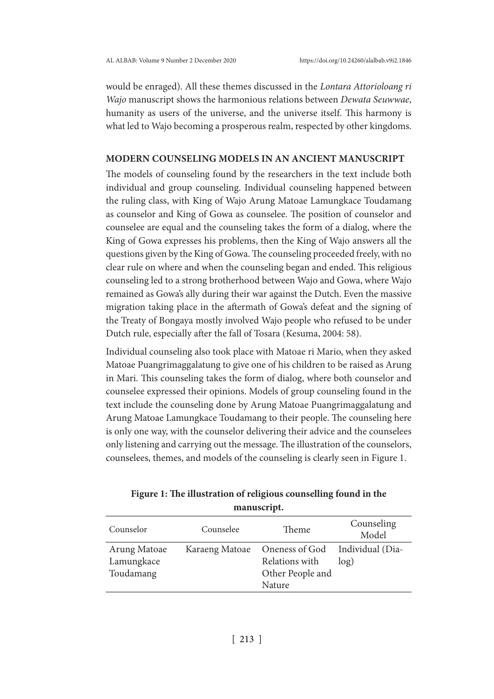would be enraged). All these themes discussed in the *Lontara Attorioloang ri Wajo* manuscript shows the harmonious relations between *Dewata Seuwwae*, humanity as users of the universe, and the universe itself. This harmony is what led to Wajo becoming a prosperous realm, respected by other kingdoms.

### **MODERN COUNSELING MODELS IN AN ANCIENT MANUSCRIPT**

The models of counseling found by the researchers in the text include both individual and group counseling. Individual counseling happened between the ruling class, with King of Wajo Arung Matoae Lamungkace Toudamang as counselor and King of Gowa as counselee. The position of counselor and counselee are equal and the counseling takes the form of a dialog, where the King of Gowa expresses his problems, then the King of Wajo answers all the questions given by the King of Gowa. The counseling proceeded freely, with no clear rule on where and when the counseling began and ended. This religious counseling led to a strong brotherhood between Wajo and Gowa, where Wajo remained as Gowa's ally during their war against the Dutch. Even the massive migration taking place in the aftermath of Gowa's defeat and the signing of the Treaty of Bongaya mostly involved Wajo people who refused to be under Dutch rule, especially after the fall of Tosara (Kesuma, 2004: 58).

Individual counseling also took place with Matoae ri Mario, when they asked Matoae Puangrimaggalatung to give one of his children to be raised as Arung in Mari. This counseling takes the form of dialog, where both counselor and counselee expressed their opinions. Models of group counseling found in the text include the counseling done by Arung Matoae Puangrimaggalatung and Arung Matoae Lamungkace Toudamang to their people. The counseling here is only one way, with the counselor delivering their advice and the counselees only listening and carrying out the message. The illustration of the counselors, counselees, themes, and models of the counseling is clearly seen in Figure 1.

| 11111111100111011                       |                |                                                                       |                     |  |
|-----------------------------------------|----------------|-----------------------------------------------------------------------|---------------------|--|
| Counselor                               | Counselee      | Theme                                                                 | Counseling<br>Model |  |
| Arung Matoae<br>Lamungkace<br>Toudamang | Karaeng Matoae | Oneness of God Individual (Dia-<br>Relations with<br>Other People and | log)                |  |
|                                         |                | Nature                                                                |                     |  |

**Figure 1: The illustration of religious counselling found in the manuscript.**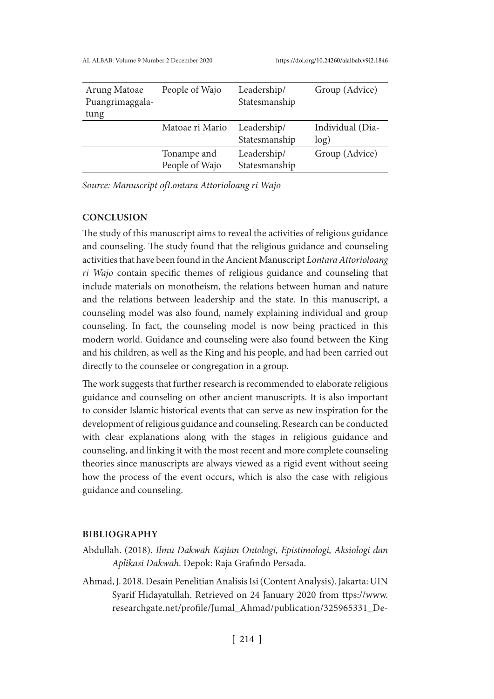| Arung Matoae<br>Puangrimaggala-<br>tung | People of Wajo                | Leadership/<br>Statesmanship | Group (Advice)           |
|-----------------------------------------|-------------------------------|------------------------------|--------------------------|
|                                         | Matoae ri Mario               | Leadership/<br>Statesmanship | Individual (Dia-<br>log) |
|                                         | Tonampe and<br>People of Wajo | Leadership/<br>Statesmanship | Group (Advice)           |

*Source: Manuscript ofLontara Attorioloang ri Wajo*

# **CONCLUSION**

The study of this manuscript aims to reveal the activities of religious guidance and counseling. The study found that the religious guidance and counseling activities that have been found in the Ancient Manuscript *Lontara Attorioloang ri Wajo* contain specific themes of religious guidance and counseling that include materials on monotheism, the relations between human and nature and the relations between leadership and the state. In this manuscript, a counseling model was also found, namely explaining individual and group counseling. In fact, the counseling model is now being practiced in this modern world. Guidance and counseling were also found between the King and his children, as well as the King and his people, and had been carried out directly to the counselee or congregation in a group.

The work suggests that further research is recommended to elaborate religious guidance and counseling on other ancient manuscripts. It is also important to consider Islamic historical events that can serve as new inspiration for the development of religious guidance and counseling. Research can be conducted with clear explanations along with the stages in religious guidance and counseling, and linking it with the most recent and more complete counseling theories since manuscripts are always viewed as a rigid event without seeing how the process of the event occurs, which is also the case with religious guidance and counseling.

### **BIBLIOGRAPHY**

- Abdullah. (2018). *Ilmu Dakwah Kajian Ontologi, Epistimologi, Aksiologi dan Aplikasi Dakwah*. Depok: Raja Grafindo Persada.
- Ahmad, J. 2018. Desain Penelitian Analisis Isi (Content Analysis). Jakarta: UIN Syarif Hidayatullah. Retrieved on 24 January 2020 from ttps://www. researchgate.net/profile/Jumal\_Ahmad/publication/325965331\_De-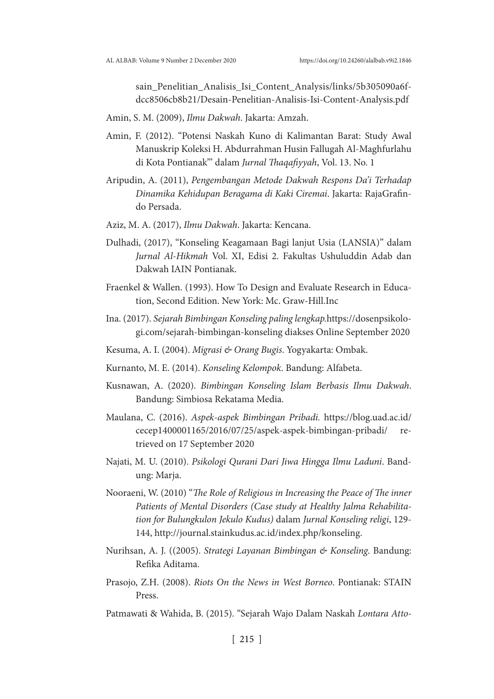sain\_Penelitian\_Analisis\_Isi\_Content\_Analysis/links/5b305090a6fdcc8506cb8b21/Desain-Penelitian-Analisis-Isi-Content-Analysis.pdf

- Amin, S. M. (2009), *Ilmu Dakwah*. Jakarta: Amzah.
- Amin, F. (2012). "Potensi Naskah Kuno di Kalimantan Barat: Study Awal Manuskrip Koleksi H. Abdurrahman Husin Fallugah Al-Maghfurlahu di Kota Pontianak"' dalam *Jurnal Thaqafiyyah*, Vol. 13. No. 1
- Aripudin, A. (2011), *Pengembangan Metode Dakwah Respons Da'i Terhadap Dinamika Kehidupan Beragama di Kaki Ciremai*. Jakarta: RajaGrafindo Persada.
- Aziz, M. A. (2017), *Ilmu Dakwah*. Jakarta: Kencana.
- Dulhadi, (2017), "Konseling Keagamaan Bagi lanjut Usia (LANSIA)" dalam *Jurnal Al-Hikmah* Vol. XI, Edisi 2. Fakultas Ushuluddin Adab dan Dakwah IAIN Pontianak.
- Fraenkel & Wallen. (1993). How To Design and Evaluate Research in Education, Second Edition. New York: Mc. Graw-Hill.Inc
- Ina. (2017). *Sejarah Bimbingan Konseling paling lengkap.*https://dosenpsikologi.com/sejarah-bimbingan-konseling diakses Online September 2020
- Kesuma, A. I. (2004). *Migrasi & Orang Bugis*. Yogyakarta: Ombak.
- Kurnanto, M. E. (2014). *Konseling Kelompok*. Bandung: Alfabeta.
- Kusnawan, A. (2020). *Bimbingan Konseling Islam Berbasis Ilmu Dakwah*. Bandung: Simbiosa Rekatama Media.
- Maulana, C. (2016). *Aspek-aspek Bimbingan Pribadi.* https://blog.uad.ac.id/ cecep1400001165/2016/07/25/aspek-aspek-bimbingan-pribadi/ retrieved on 17 September 2020
- Najati, M. U. (2010). *Psikologi Qurani Dari Jiwa Hingga Ilmu Laduni*. Bandung: Marja.
- Nooraeni, W. (2010) "*The Role of Religious in Increasing the Peace of The inner Patients of Mental Disorders (Case study at Healthy Jalma Rehabilitation for Bulungkulon Jekulo Kudus)* dalam *Jurnal Konseling religi*, 129- 144, http://journal.stainkudus.ac.id/index.php/konseling.
- Nurihsan, A. J. ((2005). *Strategi Layanan Bimbingan & Konseling*. Bandung: Refika Aditama.
- Prasojo, Z.H. (2008). *Riots On the News in West Borneo*. Pontianak: STAIN Press.
- Patmawati & Wahida, B. (2015). "Sejarah Wajo Dalam Naskah *Lontara Atto*